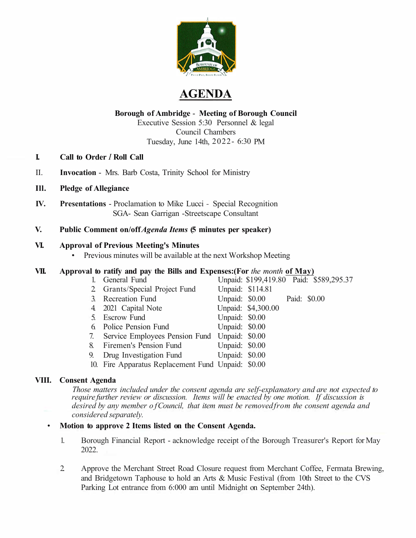

# **AGENDA**

## **Borough of Ambridge** - **Meeting of Borough Council**

Executive Session 5:30 Personnel & legal Council Chambers Tuesday, June 14th, 2022- 6:30 PM

- **I. Call to Order** *I* **Roll Call**
- II. **Invocation**  Mrs. Barb Costa, Trinity School for Ministry
- **Ill. Pledge of Allegiance**
- **IV. Presentations**  Proclamation to Mike Lucci Special Recognition SGA- Sean Garrigan -Streetscape Consultant

### **V. Public Comment on/off** *Agenda Items* **(5 minutes per speaker)**

#### **VI. Approval of Previous Meeting's Minutes**

• Previous minutes will be available at the next Workshop Meeting

## **VII. Approval to ratify and pay the Bills and Expenses:(For** *the month* **of May)**

| 1. General Fund                                                      |                |                             | Unpaid: \$199,419.80 Paid: \$589,295.37 |
|----------------------------------------------------------------------|----------------|-----------------------------|-----------------------------------------|
| 2 Grants/Special Project Fund                                        |                | Unpaid: \$114.81            |                                         |
| 3. Recreation Fund                                                   |                | Unpaid: \$0.00 Paid: \$0.00 |                                         |
| 4. 2021 Capital Note                                                 |                | Unpaid: \$4,300.00          |                                         |
| 5. Escrow Fund                                                       | Unpaid: \$0.00 |                             |                                         |
| 6 Police Pension Fund                                                | Unpaid: \$0.00 |                             |                                         |
| 7. Service Employees Pension Fund Unpaid: \$0.00                     |                |                             |                                         |
| 8 Firemen's Pension Fund                                             | Unpaid: \$0.00 |                             |                                         |
| 9. Drug Investigation Fund Unpaid: \$0.00                            |                |                             |                                         |
| $10 F_{\text{tot}}$ Augustine Dealers and Freed Handel $\theta$ 0.00 |                |                             |                                         |

10. Fire Apparatus Replacement Fund Unpaid: \$0.00

## **VIII. Consent Agenda**

*Those matters included under the consent agenda are self-explanatory and are not expected to require further review or discussion. Items will be enacted by one motion. If discussion is desired by any member o f Council, that item must be removed from the consent agenda and considered separately.* 

#### • **Motion to approve 2 Items listed on the Consent Agenda.**

- 1. Borough Financial Report acknowledge receipt of the Borough Treasurer's Report for May 2022.
- 2. Approve the Merchant Street Road Closure request from Merchant Coffee, Fermata Brewing, and Bridgetown Taphouse to hold an Arts & Music Festival (from 10th Street to the CVS Parking Lot entrance from 6:000 am until Midnight on September 24th).